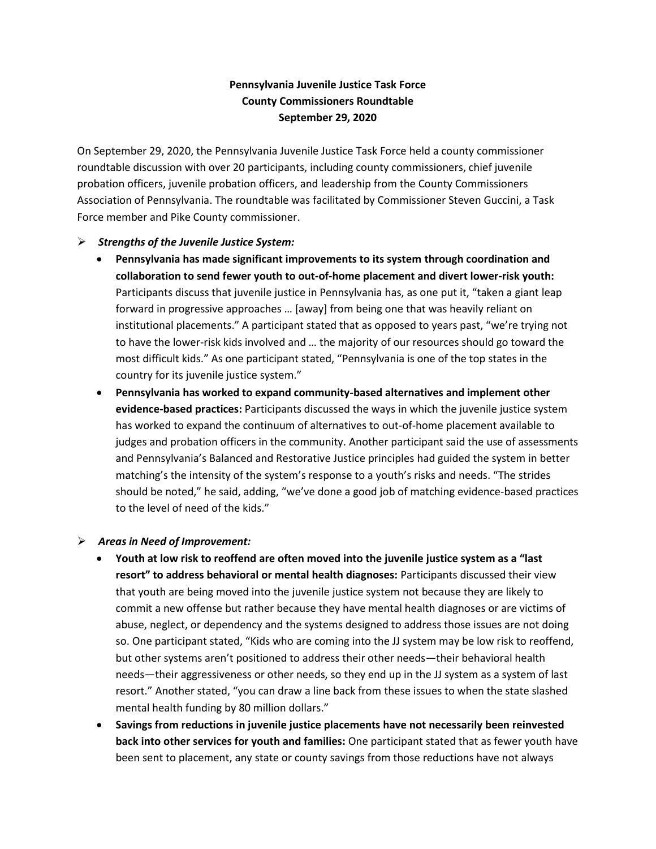## **Pennsylvania Juvenile Justice Task Force County Commissioners Roundtable September 29, 2020**

On September 29, 2020, the Pennsylvania Juvenile Justice Task Force held a county commissioner roundtable discussion with over 20 participants, including county commissioners, chief juvenile probation officers, juvenile probation officers, and leadership from the County Commissioners Association of Pennsylvania. The roundtable was facilitated by Commissioner Steven Guccini, a Task Force member and Pike County commissioner.

## ➢ *Strengths of the Juvenile Justice System:*

- **Pennsylvania has made significant improvements to its system through coordination and collaboration to send fewer youth to out-of-home placement and divert lower-risk youth:** Participants discuss that juvenile justice in Pennsylvania has, as one put it, "taken a giant leap forward in progressive approaches … [away] from being one that was heavily reliant on institutional placements." A participant stated that as opposed to years past, "we're trying not to have the lower-risk kids involved and … the majority of our resources should go toward the most difficult kids." As one participant stated, "Pennsylvania is one of the top states in the country for its juvenile justice system."
- **Pennsylvania has worked to expand community-based alternatives and implement other evidence-based practices:** Participants discussed the ways in which the juvenile justice system has worked to expand the continuum of alternatives to out-of-home placement available to judges and probation officers in the community. Another participant said the use of assessments and Pennsylvania's Balanced and Restorative Justice principles had guided the system in better matching's the intensity of the system's response to a youth's risks and needs. "The strides should be noted," he said, adding, "we've done a good job of matching evidence-based practices to the level of need of the kids."

## ➢ *Areas in Need of Improvement:*

- **Youth at low risk to reoffend are often moved into the juvenile justice system as a "last resort" to address behavioral or mental health diagnoses:** Participants discussed their view that youth are being moved into the juvenile justice system not because they are likely to commit a new offense but rather because they have mental health diagnoses or are victims of abuse, neglect, or dependency and the systems designed to address those issues are not doing so. One participant stated, "Kids who are coming into the JJ system may be low risk to reoffend, but other systems aren't positioned to address their other needs—their behavioral health needs—their aggressiveness or other needs, so they end up in the JJ system as a system of last resort." Another stated, "you can draw a line back from these issues to when the state slashed mental health funding by 80 million dollars."
- **Savings from reductions in juvenile justice placements have not necessarily been reinvested back into other services for youth and families:** One participant stated that as fewer youth have been sent to placement, any state or county savings from those reductions have not always